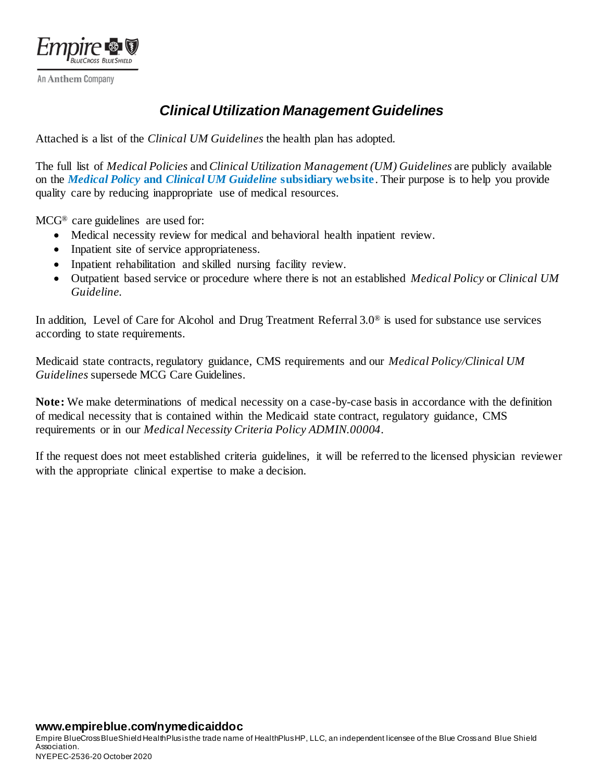

An Anthem Company

## *Clinical Utilization Management Guidelines*

Attached is a list of the *Clinical UM Guidelines* the health plan has adopted.

The full list of *Medical Policies* and *Clinical Utilization Management (UM) Guidelines* are publicly available on the *Medical Policy* **and** *[Clinical UM Guideline](https://www.empireblue.com/provider/policies/clinical-guidelines/)* **subsidiary website**. Their purpose is to help you provide quality care by reducing inappropriate use of medical resources.

MCG® care guidelines are used for:

- Medical necessity review for medical and behavioral health inpatient review.
- Inpatient site of service appropriateness.
- Inpatient rehabilitation and skilled nursing facility review.
- Outpatient based service or procedure where there is not an established *Medical Policy* or *Clinical UM Guideline.*

In addition, Level of Care for Alcohol and Drug Treatment Referral 3.0® is used for substance use services according to state requirements.

Medicaid state contracts, regulatory guidance, CMS requirements and our *Medical Policy/Clinical UM Guidelines* supersede MCG Care Guidelines.

**Note:** We make determinations of medical necessity on a case-by-case basis in accordance with the definition of medical necessity that is contained within the Medicaid state contract, regulatory guidance, CMS requirements or in our *Medical Necessity Criteria Policy ADMIN.00004*.

If the request does not meet established criteria guidelines, it will be referred to the licensed physician reviewer with the appropriate clinical expertise to make a decision.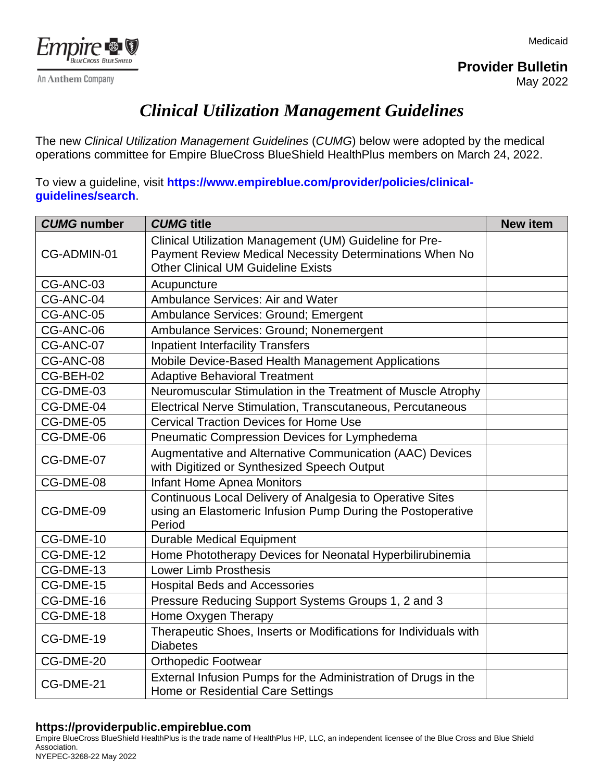Medicaid



An Anthem Company

**Provider Bulletin** May 2022

## *Clinical Utilization Management Guidelines*

The new *Clinical Utilization Management Guidelines* (*CUMG*) below were adopted by the medical operations committee for Empire BlueCross BlueShield HealthPlus members on March 24, 2022.

To view a guideline, visit **[https://www.empireblue.com/provider/policies/clinical](https://www.empireblue.com/provider/policies/clinical-guidelines/search)[guidelines/search](https://www.empireblue.com/provider/policies/clinical-guidelines/search)**.

| <b>CUMG</b> number | <b>CUMG title</b>                                                                                                                                               | <b>New item</b> |
|--------------------|-----------------------------------------------------------------------------------------------------------------------------------------------------------------|-----------------|
| CG-ADMIN-01        | Clinical Utilization Management (UM) Guideline for Pre-<br>Payment Review Medical Necessity Determinations When No<br><b>Other Clinical UM Guideline Exists</b> |                 |
| CG-ANC-03          | Acupuncture                                                                                                                                                     |                 |
| CG-ANC-04          | Ambulance Services: Air and Water                                                                                                                               |                 |
| CG-ANC-05          | Ambulance Services: Ground; Emergent                                                                                                                            |                 |
| CG-ANC-06          | Ambulance Services: Ground; Nonemergent                                                                                                                         |                 |
| CG-ANC-07          | <b>Inpatient Interfacility Transfers</b>                                                                                                                        |                 |
| CG-ANC-08          | Mobile Device-Based Health Management Applications                                                                                                              |                 |
| CG-BEH-02          | <b>Adaptive Behavioral Treatment</b>                                                                                                                            |                 |
| CG-DME-03          | Neuromuscular Stimulation in the Treatment of Muscle Atrophy                                                                                                    |                 |
| CG-DME-04          | Electrical Nerve Stimulation, Transcutaneous, Percutaneous                                                                                                      |                 |
| CG-DME-05          | <b>Cervical Traction Devices for Home Use</b>                                                                                                                   |                 |
| CG-DME-06          | Pneumatic Compression Devices for Lymphedema                                                                                                                    |                 |
| CG-DME-07          | Augmentative and Alternative Communication (AAC) Devices<br>with Digitized or Synthesized Speech Output                                                         |                 |
| CG-DME-08          | <b>Infant Home Apnea Monitors</b>                                                                                                                               |                 |
| CG-DME-09          | Continuous Local Delivery of Analgesia to Operative Sites<br>using an Elastomeric Infusion Pump During the Postoperative<br>Period                              |                 |
| CG-DME-10          | <b>Durable Medical Equipment</b>                                                                                                                                |                 |
| CG-DME-12          | Home Phototherapy Devices for Neonatal Hyperbilirubinemia                                                                                                       |                 |
| CG-DME-13          | <b>Lower Limb Prosthesis</b>                                                                                                                                    |                 |
| CG-DME-15          | <b>Hospital Beds and Accessories</b>                                                                                                                            |                 |
| CG-DME-16          | Pressure Reducing Support Systems Groups 1, 2 and 3                                                                                                             |                 |
| CG-DME-18          | Home Oxygen Therapy                                                                                                                                             |                 |
| CG-DME-19          | Therapeutic Shoes, Inserts or Modifications for Individuals with<br><b>Diabetes</b>                                                                             |                 |
| CG-DME-20          | <b>Orthopedic Footwear</b>                                                                                                                                      |                 |
| CG-DME-21          | External Infusion Pumps for the Administration of Drugs in the<br>Home or Residential Care Settings                                                             |                 |

## **https://providerpublic.empireblue.com**

Empire BlueCross BlueShield HealthPlus is the trade name of HealthPlus HP, LLC, an independent licensee of the Blue Cross and Blue Shield Association. NYEPEC-3268-22 May 2022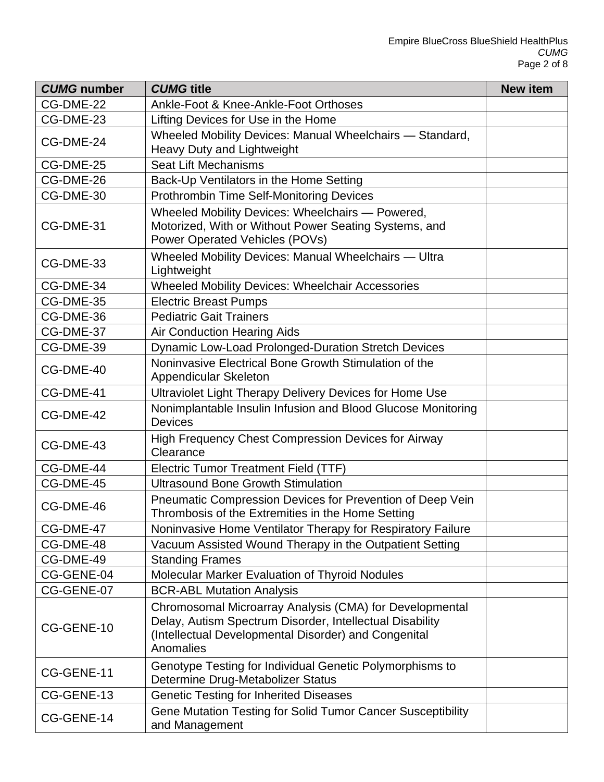| <b>CUMG number</b> | <b>CUMG title</b>                                                                                                                                                                        | <b>New item</b> |
|--------------------|------------------------------------------------------------------------------------------------------------------------------------------------------------------------------------------|-----------------|
| CG-DME-22          | Ankle-Foot & Knee-Ankle-Foot Orthoses                                                                                                                                                    |                 |
| CG-DME-23          | Lifting Devices for Use in the Home                                                                                                                                                      |                 |
| CG-DME-24          | Wheeled Mobility Devices: Manual Wheelchairs - Standard,<br>Heavy Duty and Lightweight                                                                                                   |                 |
| CG-DME-25          | <b>Seat Lift Mechanisms</b>                                                                                                                                                              |                 |
| CG-DME-26          | Back-Up Ventilators in the Home Setting                                                                                                                                                  |                 |
| CG-DME-30          | <b>Prothrombin Time Self-Monitoring Devices</b>                                                                                                                                          |                 |
| CG-DME-31          | Wheeled Mobility Devices: Wheelchairs - Powered,<br>Motorized, With or Without Power Seating Systems, and<br>Power Operated Vehicles (POVs)                                              |                 |
| CG-DME-33          | Wheeled Mobility Devices: Manual Wheelchairs - Ultra<br>Lightweight                                                                                                                      |                 |
| CG-DME-34          | Wheeled Mobility Devices: Wheelchair Accessories                                                                                                                                         |                 |
| CG-DME-35          | <b>Electric Breast Pumps</b>                                                                                                                                                             |                 |
| CG-DME-36          | <b>Pediatric Gait Trainers</b>                                                                                                                                                           |                 |
| CG-DME-37          | <b>Air Conduction Hearing Aids</b>                                                                                                                                                       |                 |
| CG-DME-39          | Dynamic Low-Load Prolonged-Duration Stretch Devices                                                                                                                                      |                 |
| CG-DME-40          | Noninvasive Electrical Bone Growth Stimulation of the<br>Appendicular Skeleton                                                                                                           |                 |
| CG-DME-41          | Ultraviolet Light Therapy Delivery Devices for Home Use                                                                                                                                  |                 |
| CG-DME-42          | Nonimplantable Insulin Infusion and Blood Glucose Monitoring<br><b>Devices</b>                                                                                                           |                 |
| CG-DME-43          | High Frequency Chest Compression Devices for Airway<br>Clearance                                                                                                                         |                 |
| CG-DME-44          | <b>Electric Tumor Treatment Field (TTF)</b>                                                                                                                                              |                 |
| CG-DME-45          | <b>Ultrasound Bone Growth Stimulation</b>                                                                                                                                                |                 |
| CG-DME-46          | Pneumatic Compression Devices for Prevention of Deep Vein<br>Thrombosis of the Extremities in the Home Setting                                                                           |                 |
| CG-DME-47          | Noninvasive Home Ventilator Therapy for Respiratory Failure                                                                                                                              |                 |
| CG-DME-48          | Vacuum Assisted Wound Therapy in the Outpatient Setting                                                                                                                                  |                 |
| CG-DME-49          | <b>Standing Frames</b>                                                                                                                                                                   |                 |
| CG-GENE-04         | Molecular Marker Evaluation of Thyroid Nodules                                                                                                                                           |                 |
| CG-GENE-07         | <b>BCR-ABL Mutation Analysis</b>                                                                                                                                                         |                 |
| CG-GENE-10         | Chromosomal Microarray Analysis (CMA) for Developmental<br>Delay, Autism Spectrum Disorder, Intellectual Disability<br>(Intellectual Developmental Disorder) and Congenital<br>Anomalies |                 |
| CG-GENE-11         | Genotype Testing for Individual Genetic Polymorphisms to<br>Determine Drug-Metabolizer Status                                                                                            |                 |
| CG-GENE-13         | <b>Genetic Testing for Inherited Diseases</b>                                                                                                                                            |                 |
| CG-GENE-14         | Gene Mutation Testing for Solid Tumor Cancer Susceptibility<br>and Management                                                                                                            |                 |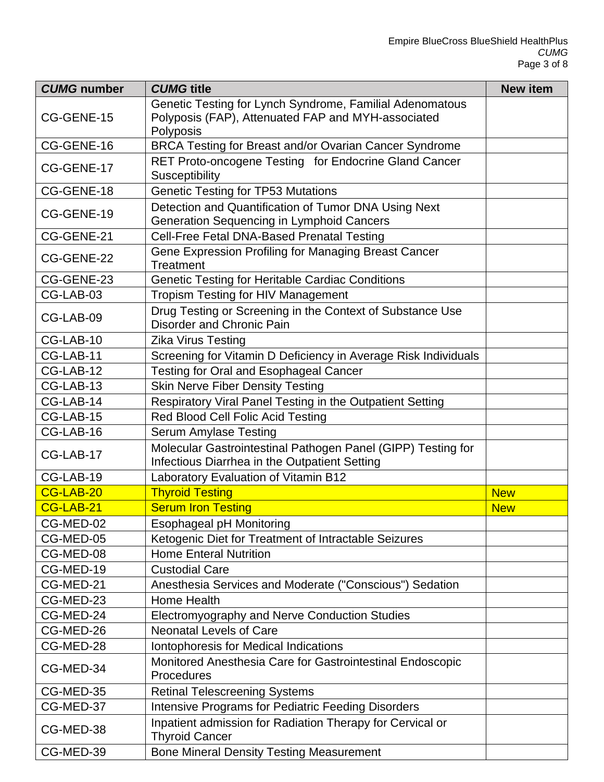| <b>CUMG number</b> | <b>CUMG</b> title                                                                                                           | <b>New item</b> |
|--------------------|-----------------------------------------------------------------------------------------------------------------------------|-----------------|
| CG-GENE-15         | Genetic Testing for Lynch Syndrome, Familial Adenomatous<br>Polyposis (FAP), Attenuated FAP and MYH-associated<br>Polyposis |                 |
| CG-GENE-16         | BRCA Testing for Breast and/or Ovarian Cancer Syndrome                                                                      |                 |
| CG-GENE-17         | RET Proto-oncogene Testing for Endocrine Gland Cancer<br><b>Susceptibility</b>                                              |                 |
| CG-GENE-18         | <b>Genetic Testing for TP53 Mutations</b>                                                                                   |                 |
| CG-GENE-19         | Detection and Quantification of Tumor DNA Using Next<br><b>Generation Sequencing in Lymphoid Cancers</b>                    |                 |
| CG-GENE-21         | Cell-Free Fetal DNA-Based Prenatal Testing                                                                                  |                 |
| CG-GENE-22         | Gene Expression Profiling for Managing Breast Cancer<br><b>Treatment</b>                                                    |                 |
| CG-GENE-23         | <b>Genetic Testing for Heritable Cardiac Conditions</b>                                                                     |                 |
| CG-LAB-03          | <b>Tropism Testing for HIV Management</b>                                                                                   |                 |
| CG-LAB-09          | Drug Testing or Screening in the Context of Substance Use<br>Disorder and Chronic Pain                                      |                 |
| CG-LAB-10          | <b>Zika Virus Testing</b>                                                                                                   |                 |
| CG-LAB-11          | Screening for Vitamin D Deficiency in Average Risk Individuals                                                              |                 |
| CG-LAB-12          | <b>Testing for Oral and Esophageal Cancer</b>                                                                               |                 |
| CG-LAB-13          | <b>Skin Nerve Fiber Density Testing</b>                                                                                     |                 |
| CG-LAB-14          | Respiratory Viral Panel Testing in the Outpatient Setting                                                                   |                 |
| CG-LAB-15          | Red Blood Cell Folic Acid Testing                                                                                           |                 |
| CG-LAB-16          | <b>Serum Amylase Testing</b>                                                                                                |                 |
| CG-LAB-17          | Molecular Gastrointestinal Pathogen Panel (GIPP) Testing for<br>Infectious Diarrhea in the Outpatient Setting               |                 |
| CG-LAB-19          | Laboratory Evaluation of Vitamin B12                                                                                        |                 |
| CG-LAB-20          | <b>Thyroid Testing</b>                                                                                                      | <b>New</b>      |
| CG-LAB-21          | <b>Serum Iron Testing</b>                                                                                                   | <b>New</b>      |
| CG-MED-02          | <b>Esophageal pH Monitoring</b>                                                                                             |                 |
| CG-MED-05          | Ketogenic Diet for Treatment of Intractable Seizures                                                                        |                 |
| CG-MED-08          | <b>Home Enteral Nutrition</b>                                                                                               |                 |
| CG-MED-19          | <b>Custodial Care</b>                                                                                                       |                 |
| CG-MED-21          | Anesthesia Services and Moderate ("Conscious") Sedation                                                                     |                 |
| CG-MED-23          | Home Health                                                                                                                 |                 |
| CG-MED-24          | Electromyography and Nerve Conduction Studies                                                                               |                 |
| CG-MED-26          | <b>Neonatal Levels of Care</b>                                                                                              |                 |
| CG-MED-28          | Iontophoresis for Medical Indications                                                                                       |                 |
| CG-MED-34          | Monitored Anesthesia Care for Gastrointestinal Endoscopic<br>Procedures                                                     |                 |
| CG-MED-35          | <b>Retinal Telescreening Systems</b>                                                                                        |                 |
| CG-MED-37          | <b>Intensive Programs for Pediatric Feeding Disorders</b>                                                                   |                 |
| CG-MED-38          | Inpatient admission for Radiation Therapy for Cervical or<br><b>Thyroid Cancer</b>                                          |                 |
| CG-MED-39          | <b>Bone Mineral Density Testing Measurement</b>                                                                             |                 |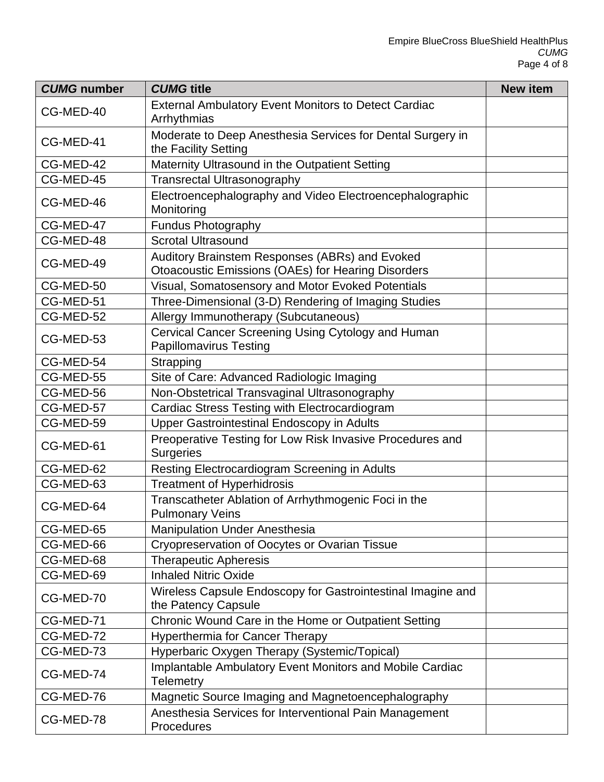| <b>CUMG</b> number | <b>CUMG</b> title                                                                                           | <b>New item</b> |
|--------------------|-------------------------------------------------------------------------------------------------------------|-----------------|
| CG-MED-40          | <b>External Ambulatory Event Monitors to Detect Cardiac</b><br>Arrhythmias                                  |                 |
| CG-MED-41          | Moderate to Deep Anesthesia Services for Dental Surgery in<br>the Facility Setting                          |                 |
| CG-MED-42          | Maternity Ultrasound in the Outpatient Setting                                                              |                 |
| CG-MED-45          | <b>Transrectal Ultrasonography</b>                                                                          |                 |
| CG-MED-46          | Electroencephalography and Video Electroencephalographic<br>Monitoring                                      |                 |
| CG-MED-47          | <b>Fundus Photography</b>                                                                                   |                 |
| CG-MED-48          | <b>Scrotal Ultrasound</b>                                                                                   |                 |
| CG-MED-49          | Auditory Brainstem Responses (ABRs) and Evoked<br><b>Otoacoustic Emissions (OAEs) for Hearing Disorders</b> |                 |
| CG-MED-50          | Visual, Somatosensory and Motor Evoked Potentials                                                           |                 |
| CG-MED-51          | Three-Dimensional (3-D) Rendering of Imaging Studies                                                        |                 |
| CG-MED-52          | Allergy Immunotherapy (Subcutaneous)                                                                        |                 |
| CG-MED-53          | Cervical Cancer Screening Using Cytology and Human<br><b>Papillomavirus Testing</b>                         |                 |
| CG-MED-54          | Strapping                                                                                                   |                 |
| CG-MED-55          | Site of Care: Advanced Radiologic Imaging                                                                   |                 |
| CG-MED-56          | Non-Obstetrical Transvaginal Ultrasonography                                                                |                 |
| CG-MED-57          | Cardiac Stress Testing with Electrocardiogram                                                               |                 |
| CG-MED-59          | Upper Gastrointestinal Endoscopy in Adults                                                                  |                 |
| CG-MED-61          | Preoperative Testing for Low Risk Invasive Procedures and<br><b>Surgeries</b>                               |                 |
| CG-MED-62          | Resting Electrocardiogram Screening in Adults                                                               |                 |
| CG-MED-63          | <b>Treatment of Hyperhidrosis</b>                                                                           |                 |
| CG-MED-64          | Transcatheter Ablation of Arrhythmogenic Foci in the<br><b>Pulmonary Veins</b>                              |                 |
| CG-MED-65          | <b>Manipulation Under Anesthesia</b>                                                                        |                 |
| CG-MED-66          | Cryopreservation of Oocytes or Ovarian Tissue                                                               |                 |
| CG-MED-68          | <b>Therapeutic Apheresis</b>                                                                                |                 |
| CG-MED-69          | <b>Inhaled Nitric Oxide</b>                                                                                 |                 |
| CG-MED-70          | Wireless Capsule Endoscopy for Gastrointestinal Imagine and<br>the Patency Capsule                          |                 |
| CG-MED-71          | Chronic Wound Care in the Home or Outpatient Setting                                                        |                 |
| CG-MED-72          | <b>Hyperthermia for Cancer Therapy</b>                                                                      |                 |
| CG-MED-73          | Hyperbaric Oxygen Therapy (Systemic/Topical)                                                                |                 |
| CG-MED-74          | Implantable Ambulatory Event Monitors and Mobile Cardiac<br><b>Telemetry</b>                                |                 |
| CG-MED-76          | Magnetic Source Imaging and Magnetoencephalography                                                          |                 |
| CG-MED-78          | Anesthesia Services for Interventional Pain Management<br>Procedures                                        |                 |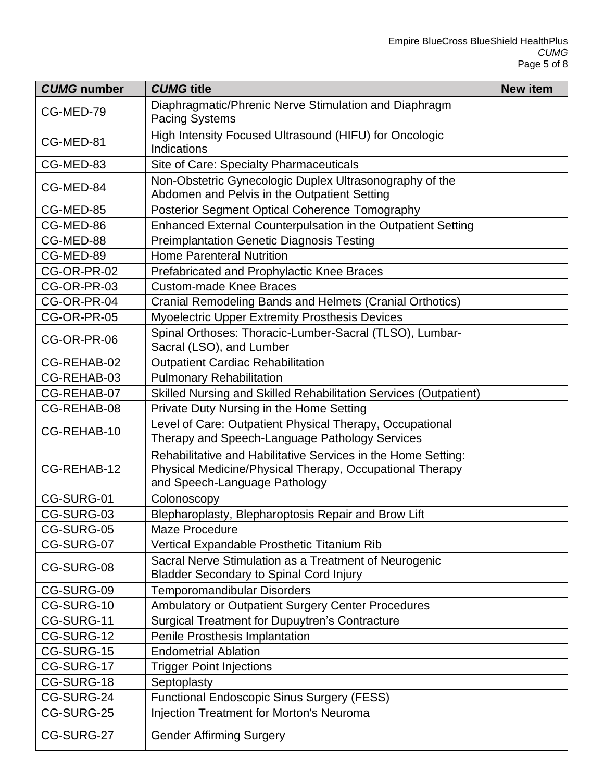| <b>CUMG number</b> | <b>CUMG title</b>                                                                                                                                          | <b>New item</b> |
|--------------------|------------------------------------------------------------------------------------------------------------------------------------------------------------|-----------------|
| CG-MED-79          | Diaphragmatic/Phrenic Nerve Stimulation and Diaphragm<br><b>Pacing Systems</b>                                                                             |                 |
| CG-MED-81          | High Intensity Focused Ultrasound (HIFU) for Oncologic<br><b>Indications</b>                                                                               |                 |
| CG-MED-83          | Site of Care: Specialty Pharmaceuticals                                                                                                                    |                 |
| CG-MED-84          | Non-Obstetric Gynecologic Duplex Ultrasonography of the<br>Abdomen and Pelvis in the Outpatient Setting                                                    |                 |
| CG-MED-85          | Posterior Segment Optical Coherence Tomography                                                                                                             |                 |
| CG-MED-86          | Enhanced External Counterpulsation in the Outpatient Setting                                                                                               |                 |
| CG-MED-88          | <b>Preimplantation Genetic Diagnosis Testing</b>                                                                                                           |                 |
| CG-MED-89          | <b>Home Parenteral Nutrition</b>                                                                                                                           |                 |
| CG-OR-PR-02        | Prefabricated and Prophylactic Knee Braces                                                                                                                 |                 |
| CG-OR-PR-03        | <b>Custom-made Knee Braces</b>                                                                                                                             |                 |
| CG-OR-PR-04        | Cranial Remodeling Bands and Helmets (Cranial Orthotics)                                                                                                   |                 |
| CG-OR-PR-05        | <b>Myoelectric Upper Extremity Prosthesis Devices</b>                                                                                                      |                 |
| CG-OR-PR-06        | Spinal Orthoses: Thoracic-Lumber-Sacral (TLSO), Lumbar-<br>Sacral (LSO), and Lumber                                                                        |                 |
| CG-REHAB-02        | <b>Outpatient Cardiac Rehabilitation</b>                                                                                                                   |                 |
| CG-REHAB-03        | <b>Pulmonary Rehabilitation</b>                                                                                                                            |                 |
| CG-REHAB-07        | Skilled Nursing and Skilled Rehabilitation Services (Outpatient)                                                                                           |                 |
| CG-REHAB-08        | Private Duty Nursing in the Home Setting                                                                                                                   |                 |
| CG-REHAB-10        | Level of Care: Outpatient Physical Therapy, Occupational<br>Therapy and Speech-Language Pathology Services                                                 |                 |
| CG-REHAB-12        | Rehabilitative and Habilitative Services in the Home Setting:<br>Physical Medicine/Physical Therapy, Occupational Therapy<br>and Speech-Language Pathology |                 |
| CG-SURG-01         | Colonoscopy                                                                                                                                                |                 |
| CG-SURG-03         | Blepharoplasty, Blepharoptosis Repair and Brow Lift                                                                                                        |                 |
| CG-SURG-05         | <b>Maze Procedure</b>                                                                                                                                      |                 |
| CG-SURG-07         | Vertical Expandable Prosthetic Titanium Rib                                                                                                                |                 |
| CG-SURG-08         | Sacral Nerve Stimulation as a Treatment of Neurogenic<br><b>Bladder Secondary to Spinal Cord Injury</b>                                                    |                 |
| CG-SURG-09         | <b>Temporomandibular Disorders</b>                                                                                                                         |                 |
| CG-SURG-10         | <b>Ambulatory or Outpatient Surgery Center Procedures</b>                                                                                                  |                 |
| CG-SURG-11         | <b>Surgical Treatment for Dupuytren's Contracture</b>                                                                                                      |                 |
| CG-SURG-12         | Penile Prosthesis Implantation                                                                                                                             |                 |
| CG-SURG-15         | <b>Endometrial Ablation</b>                                                                                                                                |                 |
| CG-SURG-17         | <b>Trigger Point Injections</b>                                                                                                                            |                 |
| CG-SURG-18         | Septoplasty                                                                                                                                                |                 |
| CG-SURG-24         | <b>Functional Endoscopic Sinus Surgery (FESS)</b>                                                                                                          |                 |
| CG-SURG-25         | <b>Injection Treatment for Morton's Neuroma</b>                                                                                                            |                 |
| CG-SURG-27         | <b>Gender Affirming Surgery</b>                                                                                                                            |                 |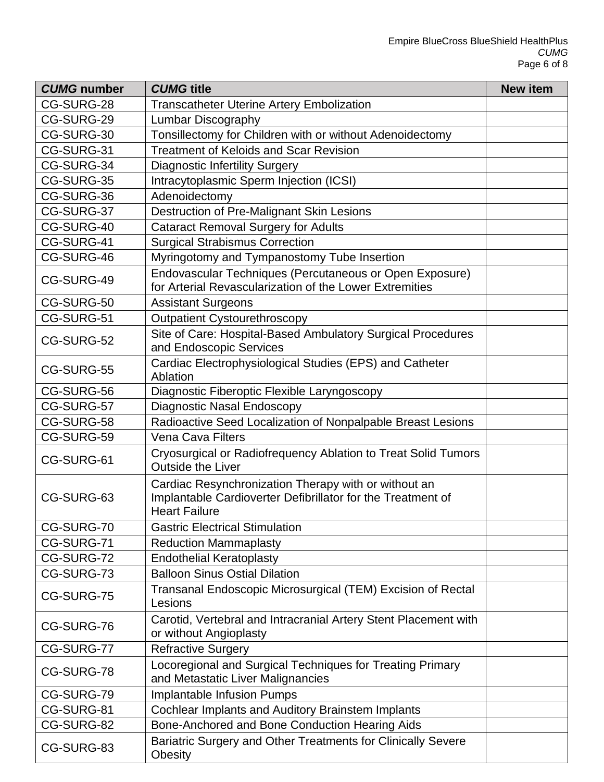| <b>CUMG</b> number | <b>CUMG title</b>                                                                                                                           | <b>New item</b> |
|--------------------|---------------------------------------------------------------------------------------------------------------------------------------------|-----------------|
| CG-SURG-28         | <b>Transcatheter Uterine Artery Embolization</b>                                                                                            |                 |
| CG-SURG-29         | Lumbar Discography                                                                                                                          |                 |
| CG-SURG-30         | Tonsillectomy for Children with or without Adenoidectomy                                                                                    |                 |
| CG-SURG-31         | <b>Treatment of Keloids and Scar Revision</b>                                                                                               |                 |
| CG-SURG-34         | <b>Diagnostic Infertility Surgery</b>                                                                                                       |                 |
| CG-SURG-35         | Intracytoplasmic Sperm Injection (ICSI)                                                                                                     |                 |
| CG-SURG-36         | Adenoidectomy                                                                                                                               |                 |
| CG-SURG-37         | Destruction of Pre-Malignant Skin Lesions                                                                                                   |                 |
| CG-SURG-40         | <b>Cataract Removal Surgery for Adults</b>                                                                                                  |                 |
| CG-SURG-41         | <b>Surgical Strabismus Correction</b>                                                                                                       |                 |
| CG-SURG-46         | Myringotomy and Tympanostomy Tube Insertion                                                                                                 |                 |
| CG-SURG-49         | Endovascular Techniques (Percutaneous or Open Exposure)<br>for Arterial Revascularization of the Lower Extremities                          |                 |
| CG-SURG-50         | <b>Assistant Surgeons</b>                                                                                                                   |                 |
| CG-SURG-51         | <b>Outpatient Cystourethroscopy</b>                                                                                                         |                 |
| CG-SURG-52         | Site of Care: Hospital-Based Ambulatory Surgical Procedures<br>and Endoscopic Services                                                      |                 |
| CG-SURG-55         | Cardiac Electrophysiological Studies (EPS) and Catheter<br>Ablation                                                                         |                 |
| CG-SURG-56         | Diagnostic Fiberoptic Flexible Laryngoscopy                                                                                                 |                 |
| CG-SURG-57         | Diagnostic Nasal Endoscopy                                                                                                                  |                 |
| CG-SURG-58         | Radioactive Seed Localization of Nonpalpable Breast Lesions                                                                                 |                 |
| CG-SURG-59         | <b>Vena Cava Filters</b>                                                                                                                    |                 |
| CG-SURG-61         | Cryosurgical or Radiofrequency Ablation to Treat Solid Tumors<br><b>Outside the Liver</b>                                                   |                 |
| CG-SURG-63         | Cardiac Resynchronization Therapy with or without an<br>Implantable Cardioverter Defibrillator for the Treatment of<br><b>Heart Failure</b> |                 |
| CG-SURG-70         | <b>Gastric Electrical Stimulation</b>                                                                                                       |                 |
| CG-SURG-71         | <b>Reduction Mammaplasty</b>                                                                                                                |                 |
| CG-SURG-72         | <b>Endothelial Keratoplasty</b>                                                                                                             |                 |
| CG-SURG-73         | <b>Balloon Sinus Ostial Dilation</b>                                                                                                        |                 |
| CG-SURG-75         | Transanal Endoscopic Microsurgical (TEM) Excision of Rectal<br>Lesions                                                                      |                 |
| CG-SURG-76         | Carotid, Vertebral and Intracranial Artery Stent Placement with<br>or without Angioplasty                                                   |                 |
| CG-SURG-77         | <b>Refractive Surgery</b>                                                                                                                   |                 |
| CG-SURG-78         | Locoregional and Surgical Techniques for Treating Primary<br>and Metastatic Liver Malignancies                                              |                 |
| CG-SURG-79         | <b>Implantable Infusion Pumps</b>                                                                                                           |                 |
| CG-SURG-81         | Cochlear Implants and Auditory Brainstem Implants                                                                                           |                 |
| CG-SURG-82         | Bone-Anchored and Bone Conduction Hearing Aids                                                                                              |                 |
| CG-SURG-83         | Bariatric Surgery and Other Treatments for Clinically Severe<br>Obesity                                                                     |                 |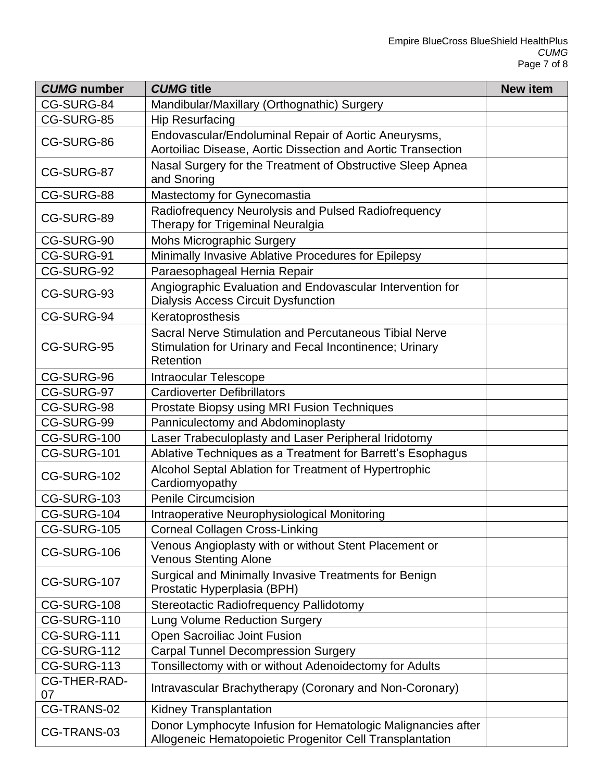| <b>CUMG number</b>        | <b>CUMG title</b>                                                                                                              | <b>New item</b> |
|---------------------------|--------------------------------------------------------------------------------------------------------------------------------|-----------------|
| CG-SURG-84                | Mandibular/Maxillary (Orthognathic) Surgery                                                                                    |                 |
| CG-SURG-85                | <b>Hip Resurfacing</b>                                                                                                         |                 |
| CG-SURG-86                | Endovascular/Endoluminal Repair of Aortic Aneurysms,<br>Aortoiliac Disease, Aortic Dissection and Aortic Transection           |                 |
| CG-SURG-87                | Nasal Surgery for the Treatment of Obstructive Sleep Apnea<br>and Snoring                                                      |                 |
| CG-SURG-88                | Mastectomy for Gynecomastia                                                                                                    |                 |
| CG-SURG-89                | Radiofrequency Neurolysis and Pulsed Radiofrequency<br>Therapy for Trigeminal Neuralgia                                        |                 |
| CG-SURG-90                | <b>Mohs Micrographic Surgery</b>                                                                                               |                 |
| CG-SURG-91                | Minimally Invasive Ablative Procedures for Epilepsy                                                                            |                 |
| CG-SURG-92                | Paraesophageal Hernia Repair                                                                                                   |                 |
| CG-SURG-93                | Angiographic Evaluation and Endovascular Intervention for<br><b>Dialysis Access Circuit Dysfunction</b>                        |                 |
| CG-SURG-94                | Keratoprosthesis                                                                                                               |                 |
| CG-SURG-95                | Sacral Nerve Stimulation and Percutaneous Tibial Nerve<br>Stimulation for Urinary and Fecal Incontinence; Urinary<br>Retention |                 |
| CG-SURG-96                | <b>Intraocular Telescope</b>                                                                                                   |                 |
| CG-SURG-97                | <b>Cardioverter Defibrillators</b>                                                                                             |                 |
| CG-SURG-98                | Prostate Biopsy using MRI Fusion Techniques                                                                                    |                 |
| CG-SURG-99                | Panniculectomy and Abdominoplasty                                                                                              |                 |
| CG-SURG-100               | Laser Trabeculoplasty and Laser Peripheral Iridotomy                                                                           |                 |
| CG-SURG-101               | Ablative Techniques as a Treatment for Barrett's Esophagus                                                                     |                 |
| CG-SURG-102               | Alcohol Septal Ablation for Treatment of Hypertrophic<br>Cardiomyopathy                                                        |                 |
| CG-SURG-103               | <b>Penile Circumcision</b>                                                                                                     |                 |
| CG-SURG-104               | Intraoperative Neurophysiological Monitoring                                                                                   |                 |
| CG-SURG-105               | <b>Corneal Collagen Cross-Linking</b>                                                                                          |                 |
| CG-SURG-106               | Venous Angioplasty with or without Stent Placement or<br><b>Venous Stenting Alone</b>                                          |                 |
| CG-SURG-107               | Surgical and Minimally Invasive Treatments for Benign<br>Prostatic Hyperplasia (BPH)                                           |                 |
| CG-SURG-108               | Stereotactic Radiofrequency Pallidotomy                                                                                        |                 |
| CG-SURG-110               | Lung Volume Reduction Surgery                                                                                                  |                 |
| CG-SURG-111               | Open Sacroiliac Joint Fusion                                                                                                   |                 |
| CG-SURG-112               | <b>Carpal Tunnel Decompression Surgery</b>                                                                                     |                 |
| CG-SURG-113               | Tonsillectomy with or without Adenoidectomy for Adults                                                                         |                 |
| <b>CG-THER-RAD-</b><br>07 | Intravascular Brachytherapy (Coronary and Non-Coronary)                                                                        |                 |
| CG-TRANS-02               | <b>Kidney Transplantation</b>                                                                                                  |                 |
| CG-TRANS-03               | Donor Lymphocyte Infusion for Hematologic Malignancies after<br>Allogeneic Hematopoietic Progenitor Cell Transplantation       |                 |